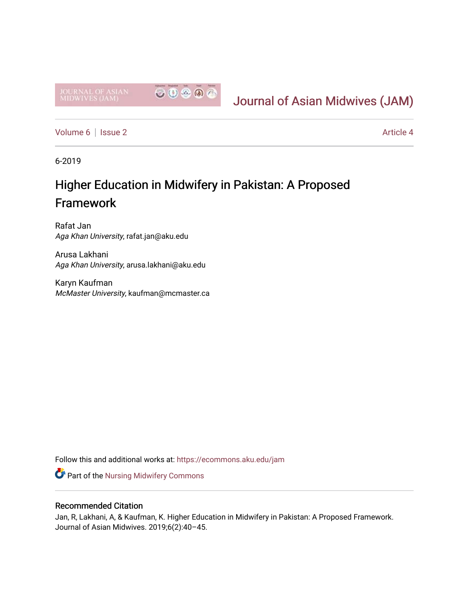

# [Journal of Asian Midwives \(JAM\)](https://ecommons.aku.edu/jam)

[Volume 6](https://ecommons.aku.edu/jam/vol6) | [Issue 2](https://ecommons.aku.edu/jam/vol6/iss2) Article 4

6-2019

# Higher Education in Midwifery in Pakistan: A Proposed Framework

Rafat Jan Aga Khan University, rafat.jan@aku.edu

Arusa Lakhani Aga Khan University, arusa.lakhani@aku.edu

Karyn Kaufman McMaster University, kaufman@mcmaster.ca

Follow this and additional works at: [https://ecommons.aku.edu/jam](https://ecommons.aku.edu/jam?utm_source=ecommons.aku.edu%2Fjam%2Fvol6%2Fiss2%2F4&utm_medium=PDF&utm_campaign=PDFCoverPages) 

**Part of the Nursing Midwifery Commons** 

## Recommended Citation

Jan, R, Lakhani, A, & Kaufman, K. Higher Education in Midwifery in Pakistan: A Proposed Framework. Journal of Asian Midwives. 2019;6(2):40–45.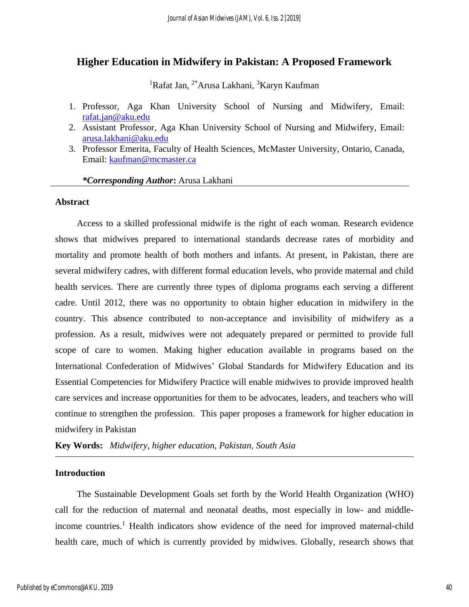# **Higher Education in Midwifery in Pakistan: A Proposed Framework**

<sup>1</sup>Rafat Jan, <sup>2\*</sup>Arusa Lakhani, <sup>3</sup>Karyn Kaufman

- 1. Professor, Aga Khan University School of Nursing and Midwifery, Email: [rafat.jan@aku.edu](mailto:rafat.jan@aku.edu)
- 2. Assistant Professor, Aga Khan University School of Nursing and Midwifery, Email: [arusa.lakhani@aku.edu](mailto:arusa.lakhani@aku.edu)
- 3. Professor Emerita, Faculty of Health Sciences, McMaster University, Ontario, Canada, Email: [kaufman@mcmaster.ca](mailto:kaufman@mcmaster.ca)

#### *\*Corresponding Author***:** Arusa Lakhani

#### **Abstract**

Access to a skilled professional midwife is the right of each woman. Research evidence shows that midwives prepared to international standards decrease rates of morbidity and mortality and promote health of both mothers and infants. At present, in Pakistan, there are several midwifery cadres, with different formal education levels, who provide maternal and child health services. There are currently three types of diploma programs each serving a different cadre. Until 2012, there was no opportunity to obtain higher education in midwifery in the country. This absence contributed to non-acceptance and invisibility of midwifery as a profession. As a result, midwives were not adequately prepared or permitted to provide full scope of care to women. Making higher education available in programs based on the International Confederation of Midwives' Global Standards for Midwifery Education and its Essential Competencies for Midwifery Practice will enable midwives to provide improved health care services and increase opportunities for them to be advocates, leaders, and teachers who will continue to strengthen the profession. This paper proposes a framework for higher education in midwifery in Pakistan

**Key Words:** *Midwifery, higher education, Pakistan, South Asia*

# **Introduction**

The Sustainable Development Goals set forth by the World Health Organization (WHO) call for the reduction of maternal and neonatal deaths, most especially in low- and middleincome countries. <sup>1</sup> Health indicators show evidence of the need for improved maternal-child health care, much of which is currently provided by midwives. Globally, research shows that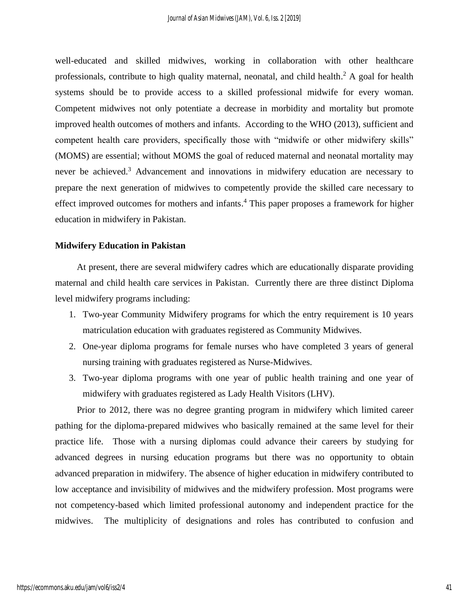well-educated and skilled midwives, working in collaboration with other healthcare professionals, contribute to high quality maternal, neonatal, and child health.<sup>2</sup> A goal for health systems should be to provide access to a skilled professional midwife for every woman. Competent midwives not only potentiate a decrease in morbidity and mortality but promote improved health outcomes of mothers and infants. According to the WHO (2013), sufficient and competent health care providers, specifically those with "midwife or other midwifery skills" (MOMS) are essential; without MOMS the goal of reduced maternal and neonatal mortality may never be achieved. <sup>3</sup> Advancement and innovations in midwifery education are necessary to prepare the next generation of midwives to competently provide the skilled care necessary to effect improved outcomes for mothers and infants.<sup>4</sup> This paper proposes a framework for higher education in midwifery in Pakistan.

#### **Midwifery Education in Pakistan**

At present, there are several midwifery cadres which are educationally disparate providing maternal and child health care services in Pakistan. Currently there are three distinct Diploma level midwifery programs including:

- 1. Two-year Community Midwifery programs for which the entry requirement is 10 years matriculation education with graduates registered as Community Midwives.
- 2. One-year diploma programs for female nurses who have completed 3 years of general nursing training with graduates registered as Nurse-Midwives.
- 3. Two-year diploma programs with one year of public health training and one year of midwifery with graduates registered as Lady Health Visitors (LHV).

Prior to 2012, there was no degree granting program in midwifery which limited career pathing for the diploma-prepared midwives who basically remained at the same level for their practice life. Those with a nursing diplomas could advance their careers by studying for advanced degrees in nursing education programs but there was no opportunity to obtain advanced preparation in midwifery. The absence of higher education in midwifery contributed to low acceptance and invisibility of midwives and the midwifery profession. Most programs were not competency-based which limited professional autonomy and independent practice for the midwives. The multiplicity of designations and roles has contributed to confusion and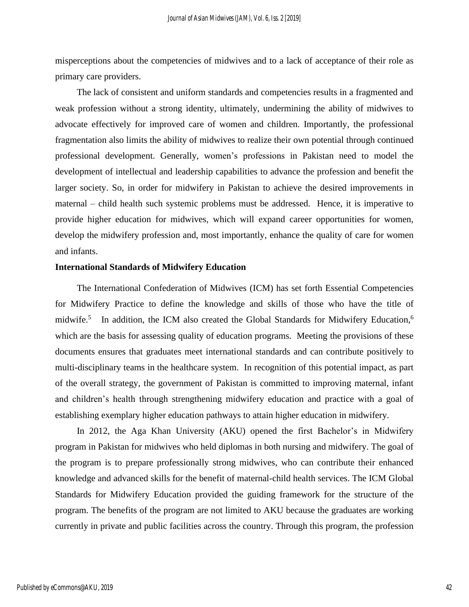misperceptions about the competencies of midwives and to a lack of acceptance of their role as primary care providers.

The lack of consistent and uniform standards and competencies results in a fragmented and weak profession without a strong identity, ultimately, undermining the ability of midwives to advocate effectively for improved care of women and children. Importantly, the professional fragmentation also limits the ability of midwives to realize their own potential through continued professional development. Generally, women's professions in Pakistan need to model the development of intellectual and leadership capabilities to advance the profession and benefit the larger society. So, in order for midwifery in Pakistan to achieve the desired improvements in maternal – child health such systemic problems must be addressed. Hence, it is imperative to provide higher education for midwives, which will expand career opportunities for women, develop the midwifery profession and, most importantly, enhance the quality of care for women and infants.

#### **International Standards of Midwifery Education**

The International Confederation of Midwives (ICM) has set forth Essential Competencies for Midwifery Practice to define the knowledge and skills of those who have the title of midwife.<sup>5</sup> In addition, the ICM also created the Global Standards for Midwifery Education,<sup>6</sup> which are the basis for assessing quality of education programs. Meeting the provisions of these documents ensures that graduates meet international standards and can contribute positively to multi-disciplinary teams in the healthcare system. In recognition of this potential impact, as part of the overall strategy, the government of Pakistan is committed to improving maternal, infant and children's health through strengthening midwifery education and practice with a goal of establishing exemplary higher education pathways to attain higher education in midwifery.

In 2012, the Aga Khan University (AKU) opened the first Bachelor's in Midwifery program in Pakistan for midwives who held diplomas in both nursing and midwifery. The goal of the program is to prepare professionally strong midwives, who can contribute their enhanced knowledge and advanced skills for the benefit of maternal-child health services. The ICM Global Standards for Midwifery Education provided the guiding framework for the structure of the program. The benefits of the program are not limited to AKU because the graduates are working currently in private and public facilities across the country. Through this program, the profession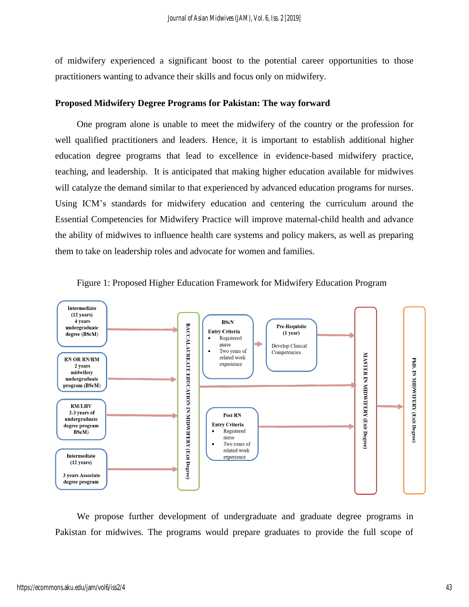of midwifery experienced a significant boost to the potential career opportunities to those practitioners wanting to advance their skills and focus only on midwifery.

# **Proposed Midwifery Degree Programs for Pakistan: The way forward**

One program alone is unable to meet the midwifery of the country or the profession for well qualified practitioners and leaders. Hence, it is important to establish additional higher education degree programs that lead to excellence in evidence-based midwifery practice, teaching, and leadership. It is anticipated that making higher education available for midwives will catalyze the demand similar to that experienced by advanced education programs for nurses. Using ICM's standards for midwifery education and centering the curriculum around the Essential Competencies for Midwifery Practice will improve maternal-child health and advance the ability of midwives to influence health care systems and policy makers, as well as preparing them to take on leadership roles and advocate for women and families.





We propose further development of undergraduate and graduate degree programs in Pakistan for midwives. The programs would prepare graduates to provide the full scope of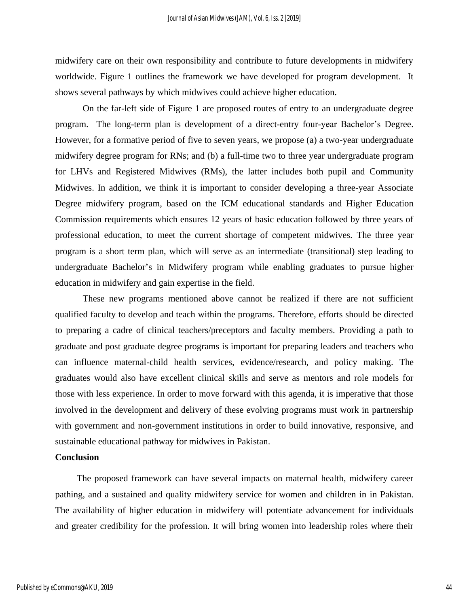midwifery care on their own responsibility and contribute to future developments in midwifery worldwide. Figure 1 outlines the framework we have developed for program development. It shows several pathways by which midwives could achieve higher education.

On the far-left side of Figure 1 are proposed routes of entry to an undergraduate degree program. The long-term plan is development of a direct-entry four-year Bachelor's Degree. However, for a formative period of five to seven years, we propose (a) a two-year undergraduate midwifery degree program for RNs; and (b) a full-time two to three year undergraduate program for LHVs and Registered Midwives (RMs), the latter includes both pupil and Community Midwives. In addition, we think it is important to consider developing a three-year Associate Degree midwifery program, based on the ICM educational standards and Higher Education Commission requirements which ensures 12 years of basic education followed by three years of professional education, to meet the current shortage of competent midwives. The three year program is a short term plan, which will serve as an intermediate (transitional) step leading to undergraduate Bachelor's in Midwifery program while enabling graduates to pursue higher education in midwifery and gain expertise in the field.

These new programs mentioned above cannot be realized if there are not sufficient qualified faculty to develop and teach within the programs. Therefore, efforts should be directed to preparing a cadre of clinical teachers/preceptors and faculty members. Providing a path to graduate and post graduate degree programs is important for preparing leaders and teachers who can influence maternal-child health services, evidence/research, and policy making. The graduates would also have excellent clinical skills and serve as mentors and role models for those with less experience. In order to move forward with this agenda, it is imperative that those involved in the development and delivery of these evolving programs must work in partnership with government and non-government institutions in order to build innovative, responsive, and sustainable educational pathway for midwives in Pakistan.

#### **Conclusion**

The proposed framework can have several impacts on maternal health, midwifery career pathing, and a sustained and quality midwifery service for women and children in in Pakistan. The availability of higher education in midwifery will potentiate advancement for individuals and greater credibility for the profession. It will bring women into leadership roles where their